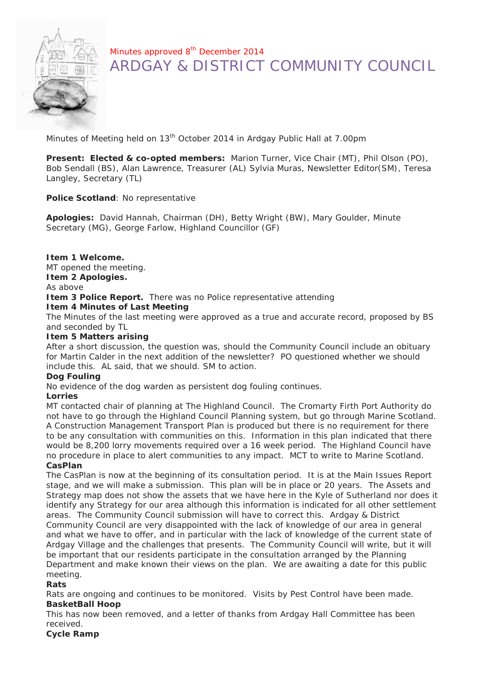

## Minutes approved 8<sup>th</sup> December 2014 ARDGAY & DISTRICT COMMUNITY COUNCIL

Minutes of Meeting held on 13<sup>th</sup> October 2014 in Ardgay Public Hall at 7.00pm

**Present: Elected & co-opted members:** Marion Turner, Vice Chair (MT), Phil Olson (PO), Bob Sendall (BS), Alan Lawrence, Treasurer (AL) Sylvia Muras, Newsletter Editor(SM), Teresa Langley, Secretary (TL)

**Police Scotland**: No representative

**Apologies:** David Hannah, Chairman (DH), Betty Wright (BW), Mary Goulder, Minute Secretary (MG), George Farlow, Highland Councillor (GF)

**Item 1 Welcome.**

MT opened the meeting.

**Item 2 Apologies.**

As above

**Item 3 Police Report.** There was no Police representative attending

**Item 4 Minutes of Last Meeting**

The Minutes of the last meeting were approved as a true and accurate record, proposed by BS and seconded by TL

**Item 5 Matters arising**

After a short discussion, the question was, should the Community Council include an obituary for Martin Calder in the next addition of the newsletter? PO questioned whether we should include this. AL said, that we should. SM to action.

**Dog Fouling**

No evidence of the dog warden as persistent dog fouling continues.

**Lorries**

MT contacted chair of planning at The Highland Council. The Cromarty Firth Port Authority do not have to go through the Highland Council Planning system, but go through Marine Scotland. A Construction Management Transport Plan is produced but there is no requirement for there to be any consultation with communities on this. Information in this plan indicated that there would be 8,200 lorry movements required over a 16 week period. The Highland Council have no procedure in place to alert communities to any impact. MCT to write to Marine Scotland. **CasPlan**

The CasPlan is now at the beginning of its consultation period. It is at the Main Issues Report stage, and we will make a submission. This plan will be in place or 20 years. The Assets and Strategy map does not show the assets that we have here in the Kyle of Sutherland nor does it identify any Strategy for our area although this information is indicated for all other settlement areas. The Community Council submission will have to correct this. Ardgay & District Community Council are very disappointed with the lack of knowledge of our area in general and what we have to offer, and in particular with the lack of knowledge of the current state of Ardgay Village and the challenges that presents. The Community Council will write, but it will be important that our residents participate in the consultation arranged by the Planning Department and make known their views on the plan. We are awaiting a date for this public meeting.

**Rats**

Rats are ongoing and continues to be monitored. Visits by Pest Control have been made. **BasketBall Hoop**

This has now been removed, and a letter of thanks from Ardgay Hall Committee has been received.

**Cycle Ramp**